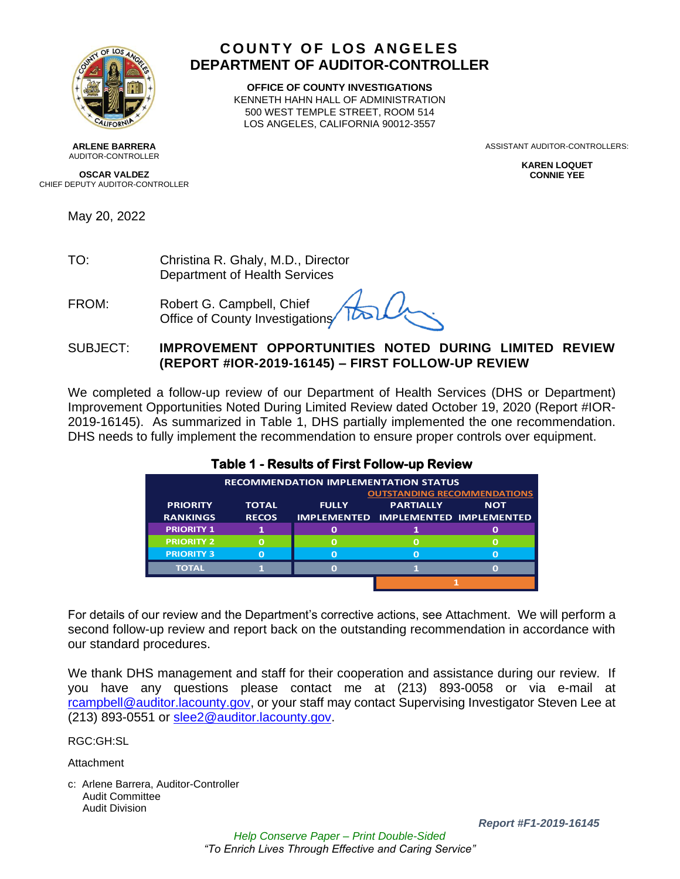

### **COUNTY OF LOS ANGELES DEPARTMENT OF AUDITOR-CONTROLLER**

**OFFICE OF COUNTY INVESTIGATIONS** KENNETH HAHN HALL OF ADMINISTRATION 500 WEST TEMPLE STREET, ROOM 514 LOS ANGELES, CALIFORNIA 90012-3557

> ASSISTANT AUDITOR-CONTROLLERS: **KAREN LOQUET**

> > **CONNIE YEE**

**ARLENE BARRERA** AUDITOR-CONTROLLER

**OSCAR VALDEZ** CHIEF DEPUTY AUDITOR-CONTROLLER

May 20, 2022

TO: Christina R. Ghaly, M.D., Director Department of Health Services

FROM: Robert G. Campbell, Chief Office of County Investigations

### SUBJECT: **IMPROVEMENT OPPORTUNITIES NOTED DURING LIMITED REVIEW (REPORT #IOR-2019-16145) – FIRST FOLLOW-UP REVIEW**

We completed a follow-up review of our Department of Health Services (DHS or Department) Improvement Opportunities Noted During Limited Review dated October 19, 2020 (Report #IOR-2019-16145). As summarized in Table 1, DHS partially implemented the one recommendation. DHS needs to fully implement the recommendation to ensure proper controls over equipment.

| <b>RECOMMENDATION IMPLEMENTATION STATUS</b> |                                    |              |                                            |            |  |  |
|---------------------------------------------|------------------------------------|--------------|--------------------------------------------|------------|--|--|
|                                             | <b>OUTSTANDING RECOMMENDATIONS</b> |              |                                            |            |  |  |
| <b>PRIORITY</b>                             | <b>TOTAL</b>                       | <b>FULLY</b> | <b>PARTIALLY</b>                           | <b>NOT</b> |  |  |
| <b>RANKINGS</b>                             | <b>RECOS</b>                       |              | <b>IMPLEMENTED IMPLEMENTED IMPLEMENTED</b> |            |  |  |
| <b>PRIORITY 1</b>                           |                                    |              |                                            |            |  |  |
| <b>PRIORITY 2</b>                           | O                                  |              |                                            | O          |  |  |
| <b>PRIORITY 3</b>                           | O                                  |              | n                                          | $\Omega$   |  |  |
| <b>TOTAL</b>                                |                                    |              |                                            |            |  |  |
|                                             |                                    |              |                                            |            |  |  |

#### **Table 1 - Results of First Follow-up Review**

For details of our review and the Department's corrective actions, see Attachment. We will perform a second follow-up review and report back on the outstanding recommendation in accordance with our standard procedures.

We thank DHS management and staff for their cooperation and assistance during our review. If you have any questions please contact me at (213) 893-0058 or via e-mail at [rcampbell@auditor.lacounty.gov,](mailto:rcampbell@auditor.lacounty.gov) or your staff may contact Supervising Investigator Steven Lee at (213) 893-0551 or [slee2@auditor.lacounty.gov.](mailto:slee2@auditor.lacounty.gov)

RGC:GH:SL

**Attachment** 

c: Arlene Barrera, Auditor-Controller Audit Committee Audit Division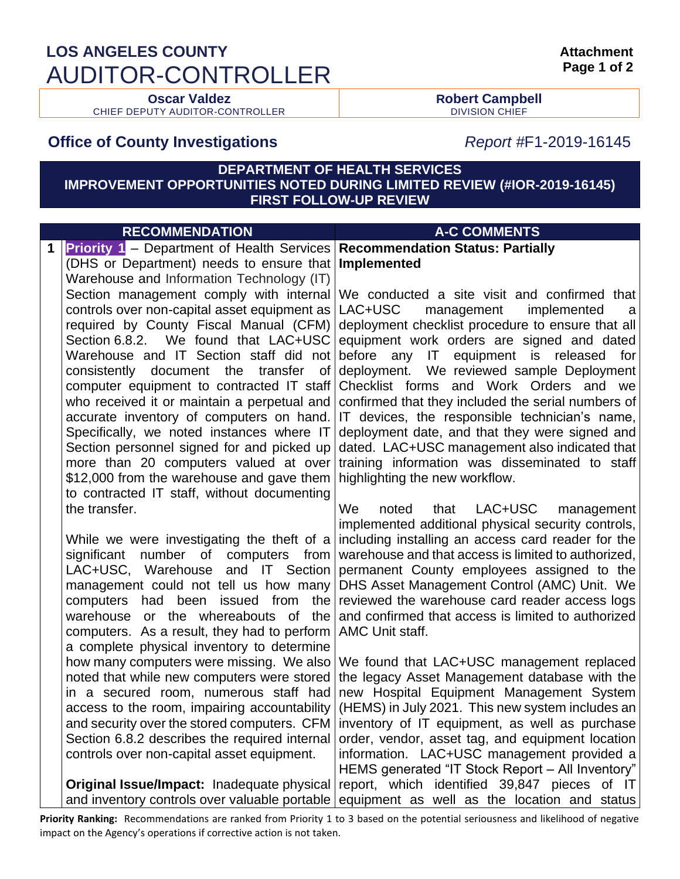# **LOS ANGELES COUNTY** AUDITOR-CONTROLLER

CHIEF DEPUTY AUDITOR-CONTROLLER

**Oscar Valdez Robert Campbell**

## **Office of County Investigations** *Report #*F1-2019-16145

### **DEPARTMENT OF HEALTH SERVICES IMPROVEMENT OPPORTUNITIES NOTED DURING LIMITED REVIEW (#IOR-2019-16145) FIRST FOLLOW-UP REVIEW**

|   | <b>RECOMMENDATION</b>                                                                        | <b>A-C COMMENTS</b>                                                                                                                                  |  |  |
|---|----------------------------------------------------------------------------------------------|------------------------------------------------------------------------------------------------------------------------------------------------------|--|--|
| 1 | <b>Priority 1</b> – Department of Health Services Recommendation Status: Partially           |                                                                                                                                                      |  |  |
|   | (DHS or Department) needs to ensure that                                                     | Implemented                                                                                                                                          |  |  |
|   | Warehouse and Information Technology (IT)                                                    |                                                                                                                                                      |  |  |
|   |                                                                                              | Section management comply with internal We conducted a site visit and confirmed that                                                                 |  |  |
|   | controls over non-capital asset equipment as                                                 | LAC+USC<br>management<br>implemented<br>a                                                                                                            |  |  |
|   | required by County Fiscal Manual (CFM)                                                       | deployment checklist procedure to ensure that all                                                                                                    |  |  |
|   | Section 6.8.2. We found that LAC+USC<br>Warehouse and IT Section staff did not               | equipment work orders are signed and dated<br>before any<br>IT<br>equipment<br>is<br>released<br>for                                                 |  |  |
|   | consistently document the transfer of                                                        | deployment. We reviewed sample Deployment                                                                                                            |  |  |
|   | computer equipment to contracted IT staff                                                    | Checklist forms and Work Orders and we                                                                                                               |  |  |
|   | who received it or maintain a perpetual and                                                  | confirmed that they included the serial numbers of                                                                                                   |  |  |
|   | accurate inventory of computers on hand.                                                     | IT devices, the responsible technician's name,                                                                                                       |  |  |
|   | Specifically, we noted instances where IT                                                    | deployment date, and that they were signed and                                                                                                       |  |  |
|   | Section personnel signed for and picked up                                                   | dated. LAC+USC management also indicated that                                                                                                        |  |  |
|   | more than 20 computers valued at over                                                        | training information was disseminated to staff                                                                                                       |  |  |
|   | \$12,000 from the warehouse and gave them                                                    | highlighting the new workflow.                                                                                                                       |  |  |
|   | to contracted IT staff, without documenting                                                  |                                                                                                                                                      |  |  |
|   | the transfer.                                                                                | We<br>LAC+USC<br>noted<br>that<br>management                                                                                                         |  |  |
|   |                                                                                              | implemented additional physical security controls,                                                                                                   |  |  |
|   |                                                                                              | While we were investigating the theft of a including installing an access card reader for the                                                        |  |  |
|   | significant number of                                                                        | computers from   warehouse and that access is limited to authorized,<br>LAC+USC, Warehouse and IT Section permanent County employees assigned to the |  |  |
|   |                                                                                              | management could not tell us how many DHS Asset Management Control (AMC) Unit. We                                                                    |  |  |
|   | computers                                                                                    | had been issued from the reviewed the warehouse card reader access logs                                                                              |  |  |
|   |                                                                                              | warehouse or the whereabouts of the and confirmed that access is limited to authorized                                                               |  |  |
|   | computers. As a result, they had to perform   AMC Unit staff.                                |                                                                                                                                                      |  |  |
|   | a complete physical inventory to determine                                                   |                                                                                                                                                      |  |  |
|   |                                                                                              | how many computers were missing. We also We found that LAC+USC management replaced                                                                   |  |  |
|   |                                                                                              | noted that while new computers were stored the legacy Asset Management database with the                                                             |  |  |
|   |                                                                                              | in a secured room, numerous staff had new Hospital Equipment Management System                                                                       |  |  |
|   |                                                                                              | access to the room, impairing accountability (HEMS) in July 2021. This new system includes an                                                        |  |  |
|   | and security over the stored computers. CFM<br>Section 6.8.2 describes the required internal | inventory of IT equipment, as well as purchase                                                                                                       |  |  |
|   | controls over non-capital asset equipment.                                                   | order, vendor, asset tag, and equipment location<br>information. LAC+USC management provided a                                                       |  |  |
|   |                                                                                              | HEMS generated "IT Stock Report - All Inventory"                                                                                                     |  |  |
|   | Original Issue/Impact: Inadequate physical                                                   | report, which identified 39,847 pieces of IT                                                                                                         |  |  |
|   |                                                                                              | and inventory controls over valuable portable equipment as well as the location and status                                                           |  |  |
|   |                                                                                              |                                                                                                                                                      |  |  |

**Priority Ranking:** Recommendations are ranked from Priority 1 to 3 based on the potential seriousness and likelihood of negative impact on the Agency's operations if corrective action is not taken.